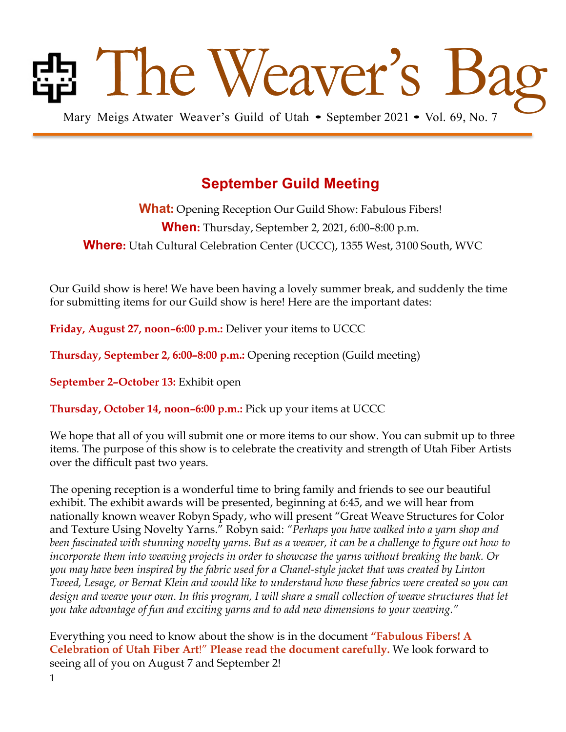# Bag Mary Meigs Atwater Weaver's Guild of Utah • September 2021 • Vol. 69, No. 7

# **September Guild Meeting**

**What:** Opening Reception Our Guild Show: Fabulous Fibers! **When:** Thursday, September 2, 2021, 6:00–8:00 p.m. **Where:** Utah Cultural Celebration Center (UCCC), 1355 West, 3100 South, WVC

Our Guild show is here! We have been having a lovely summer break, and suddenly the time for submitting items for our Guild show is here! Here are the important dates:

**Friday, August 27, noon–6:00 p.m.:** Deliver your items to UCCC

**Thursday, September 2, 6:00–8:00 p.m.:** Opening reception (Guild meeting)

**September 2–October 13:** Exhibit open

**Thursday, October 14, noon–6:00 p.m.:** Pick up your items at UCCC

We hope that all of you will submit one or more items to our show. You can submit up to three items. The purpose of this show is to celebrate the creativity and strength of Utah Fiber Artists over the difficult past two years.

The opening reception is a wonderful time to bring family and friends to see our beautiful exhibit. The exhibit awards will be presented, beginning at 6:45, and we will hear from nationally known weaver Robyn Spady, who will present "Great Weave Structures for Color and Texture Using Novelty Yarns." Robyn said: *"Perhaps you have walked into a yarn shop and* been fascinated with stunning novelty yarns. But as a weaver, it can be a challenge to figure out how to *incorporate them into weaving projects in order to showcase the yarns without breaking the bank. Or you may have been inspired by the fabric used for a Chanel-style jacket that was created by Linton* Tweed, Lesage, or Bernat Klein and would like to understand how these fabrics were created so you can design and weave your own. In this program, I will share a small collection of weave structures that let *you take advantage of fun and exciting yarns and to add new dimensions to your weaving."*

Everything you need to know about the show is in the document **"Fabulous Fibers! A Celebration of Utah Fiber Art**!" **Please read the document carefully.** We look forward to seeing all of you on August 7 and September 2!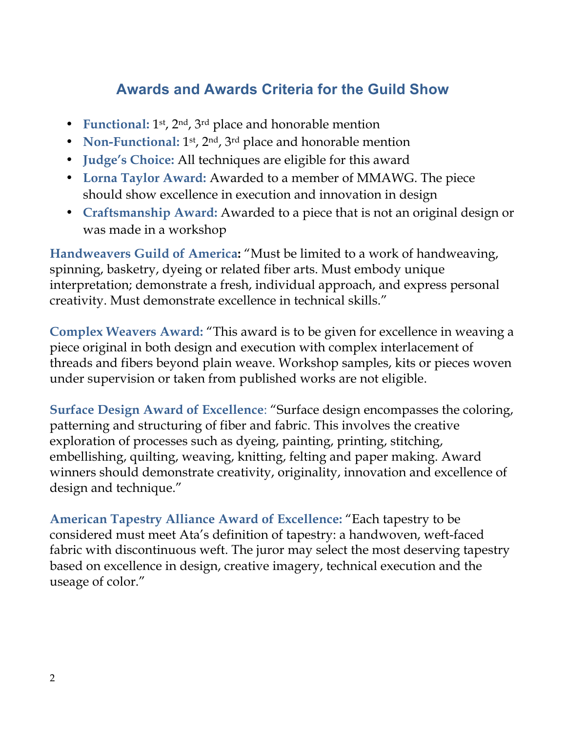# **Awards and Awards Criteria for the Guild Show**

- **Functional:** 1<sup>st</sup>, 2<sup>nd</sup>, 3<sup>rd</sup> place and honorable mention
- **Non-Functional:** 1<sup>st</sup>, 2<sup>nd</sup>, 3<sup>rd</sup> place and honorable mention
- **Judge's Choice:** All techniques are eligible for this award
- **Lorna Taylor Award:** Awarded to a member of MMAWG. The piece should show excellence in execution and innovation in design
- **Craftsmanship Award:** Awarded to a piece that is not an original design or was made in a workshop

**Handweavers Guild of America:** "Must be limited to a work of handweaving, spinning, basketry, dyeing or related fiber arts. Must embody unique interpretation; demonstrate a fresh, individual approach, and express personal creativity. Must demonstrate excellence in technical skills."

**Complex Weavers Award:** "This award is to be given for excellence in weaving a piece original in both design and execution with complex interlacement of threads and fibers beyond plain weave. Workshop samples, kits or pieces woven under supervision or taken from published works are not eligible.

**Surface Design Award of Excellence**: "Surface design encompasses the coloring, patterning and structuring of fiber and fabric. This involves the creative exploration of processes such as dyeing, painting, printing, stitching, embellishing, quilting, weaving, knitting, felting and paper making. Award winners should demonstrate creativity, originality, innovation and excellence of design and technique."

**American Tapestry Alliance Award of Excellence:** "Each tapestry to be considered must meet Ata's definition of tapestry: a handwoven, weft-faced fabric with discontinuous weft. The juror may select the most deserving tapestry based on excellence in design, creative imagery, technical execution and the useage of color."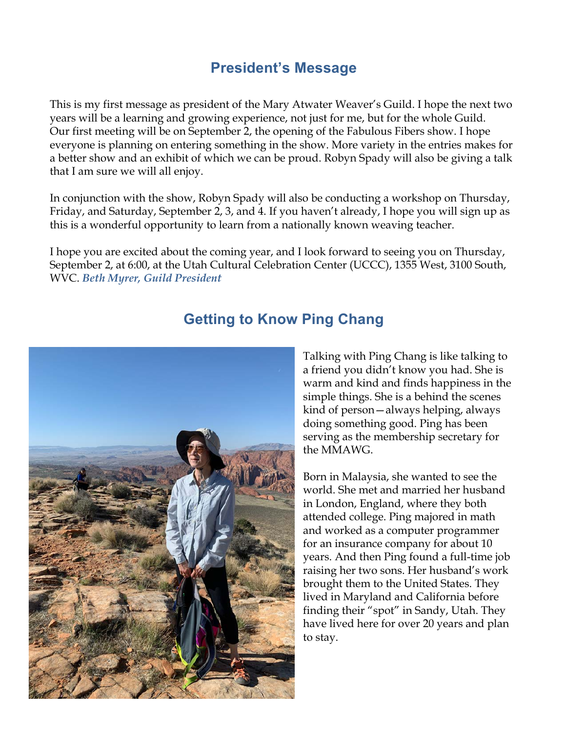# **President's Message**

This is my first message as president of the Mary Atwater Weaver's Guild. I hope the next two years will be a learning and growing experience, not just for me, but for the whole Guild. Our first meeting will be on September 2, the opening of the Fabulous Fibers show. I hope everyone is planning on entering something in the show. More variety in the entries makes for a better show and an exhibit of which we can be proud. Robyn Spady will also be giving a talk that I am sure we will all enjoy.

In conjunction with the show, Robyn Spady will also be conducting a workshop on Thursday, Friday, and Saturday, September 2, 3, and 4. If you haven't already, I hope you will sign up as this is a wonderful opportunity to learn from a nationally known weaving teacher.

I hope you are excited about the coming year, and I look forward to seeing you on Thursday, September 2, at 6:00, at the Utah Cultural Celebration Center (UCCC), 1355 West, 3100 South, WVC. *Beth Myrer, Guild President* 



# **Getting to Know Ping Chang**

Talking with Ping Chang is like talking to a friend you didn't know you had. She is warm and kind and finds happiness in the simple things. She is a behind the scenes kind of person—always helping, always doing something good. Ping has been serving as the membership secretary for the MMAWG.

Born in Malaysia, she wanted to see the world. She met and married her husband in London, England, where they both attended college. Ping majored in math and worked as a computer programmer for an insurance company for about 10 years. And then Ping found a full-time job raising her two sons. Her husband's work brought them to the United States. They lived in Maryland and California before finding their "spot" in Sandy, Utah. They have lived here for over 20 years and plan to stay.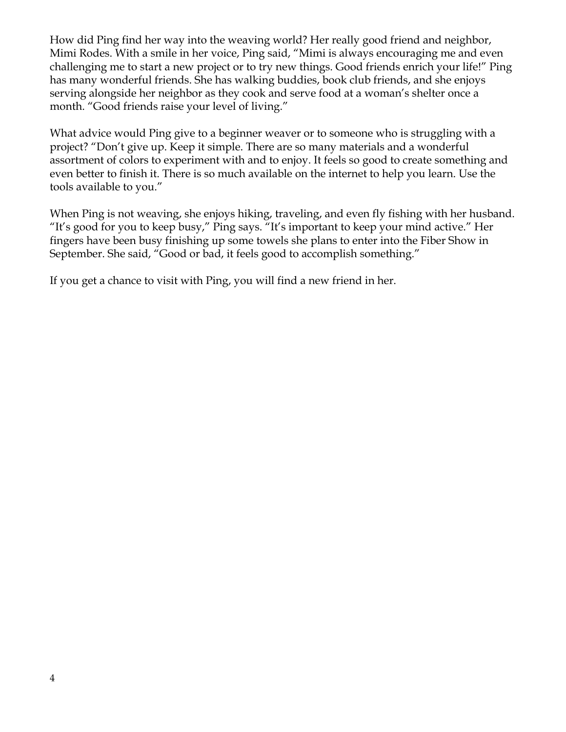How did Ping find her way into the weaving world? Her really good friend and neighbor, Mimi Rodes. With a smile in her voice, Ping said, "Mimi is always encouraging me and even challenging me to start a new project or to try new things. Good friends enrich your life!" Ping has many wonderful friends. She has walking buddies, book club friends, and she enjoys serving alongside her neighbor as they cook and serve food at a woman's shelter once a month. "Good friends raise your level of living."

What advice would Ping give to a beginner weaver or to someone who is struggling with a project? "Don't give up. Keep it simple. There are so many materials and a wonderful assortment of colors to experiment with and to enjoy. It feels so good to create something and even better to finish it. There is so much available on the internet to help you learn. Use the tools available to you."

When Ping is not weaving, she enjoys hiking, traveling, and even fly fishing with her husband. "It's good for you to keep busy," Ping says. "It's important to keep your mind active." Her fingers have been busy finishing up some towels she plans to enter into the Fiber Show in September. She said, "Good or bad, it feels good to accomplish something."

If you get a chance to visit with Ping, you will find a new friend in her.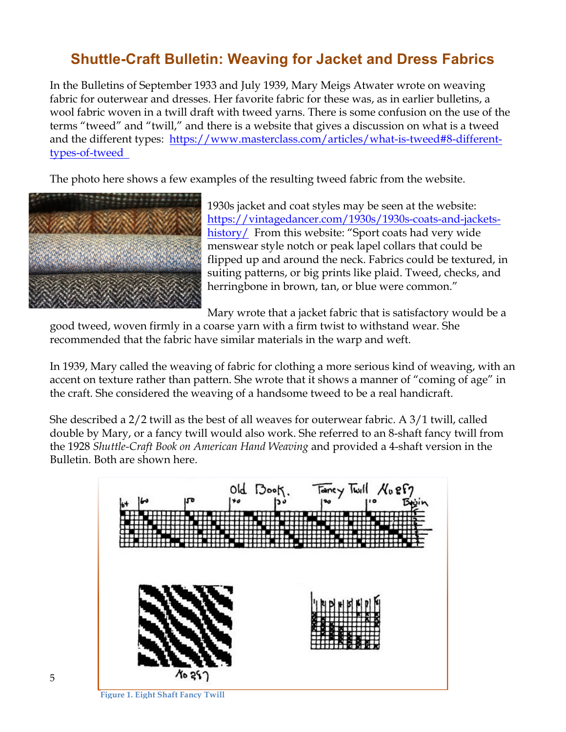# **Shuttle-Craft Bulletin: Weaving for Jacket and Dress Fabrics**

In the Bulletins of September 1933 and July 1939, Mary Meigs Atwater wrote on weaving fabric for outerwear and dresses. Her favorite fabric for these was, as in earlier bulletins, a wool fabric woven in a twill draft with tweed yarns. There is some confusion on the use of the terms "tweed" and "twill," and there is a website that gives a discussion on what is a tweed and the different types: https://www.masterclass.com/articles/what-is-tweed#8-differenttypes-of-tweed

The photo here shows a few examples of the resulting tweed fabric from the website.



1930s jacket and coat styles may be seen at the website: https://vintagedancer.com/1930s/1930s-coats-and-jacketshistory/ From this website: "Sport coats had very wide menswear style notch or peak lapel collars that could be flipped up and around the neck. Fabrics could be textured, in suiting patterns, or big prints like plaid. Tweed, checks, and herringbone in brown, tan, or blue were common."

Mary wrote that a jacket fabric that is satisfactory would be a

good tweed, woven firmly in a coarse yarn with a firm twist to withstand wear. She recommended that the fabric have similar materials in the warp and weft.

In 1939, Mary called the weaving of fabric for clothing a more serious kind of weaving, with an accent on texture rather than pattern. She wrote that it shows a manner of "coming of age" in the craft. She considered the weaving of a handsome tweed to be a real handicraft.

She described a 2/2 twill as the best of all weaves for outerwear fabric. A 3/1 twill, called double by Mary, or a fancy twill would also work. She referred to an 8-shaft fancy twill from the 1928 *Shuttle-Craft Book on American Hand Weaving* and provided a 4-shaft version in the Bulletin. Both are shown here.

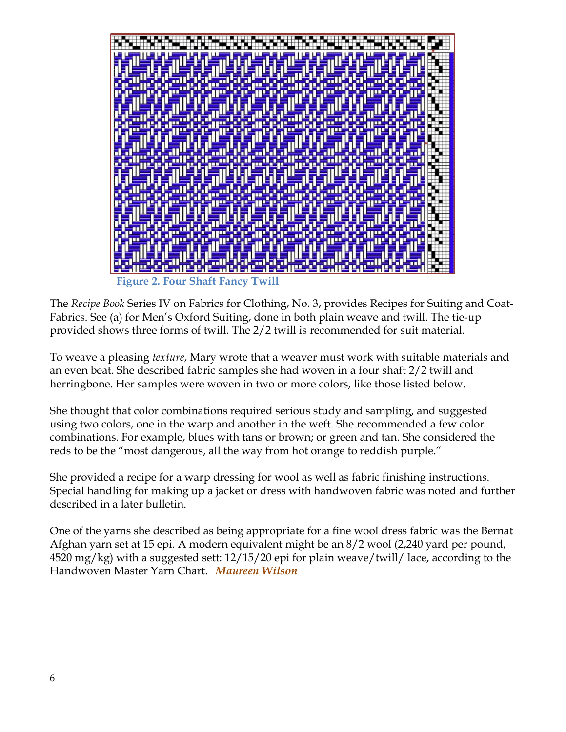

The *Recipe Book* Series IV on Fabrics for Clothing, No. 3, provides Recipes for Suiting and Coat-Fabrics. See (a) for Men's Oxford Suiting, done in both plain weave and twill. The tie-up provided shows three forms of twill. The 2/2 twill is recommended for suit material.

To weave a pleasing *texture*, Mary wrote that a weaver must work with suitable materials and an even beat. She described fabric samples she had woven in a four shaft 2/2 twill and herringbone. Her samples were woven in two or more colors, like those listed below.

She thought that color combinations required serious study and sampling, and suggested using two colors, one in the warp and another in the weft. She recommended a few color combinations. For example, blues with tans or brown; or green and tan. She considered the reds to be the "most dangerous, all the way from hot orange to reddish purple."

She provided a recipe for a warp dressing for wool as well as fabric finishing instructions. Special handling for making up a jacket or dress with handwoven fabric was noted and further described in a later bulletin.

One of the yarns she described as being appropriate for a fine wool dress fabric was the Bernat Afghan yarn set at 15 epi. A modern equivalent might be an 8/2 wool (2,240 yard per pound, 4520 mg/kg) with a suggested sett: 12/15/20 epi for plain weave/twill/ lace, according to the Handwoven Master Yarn Chart. *Maureen Wilson*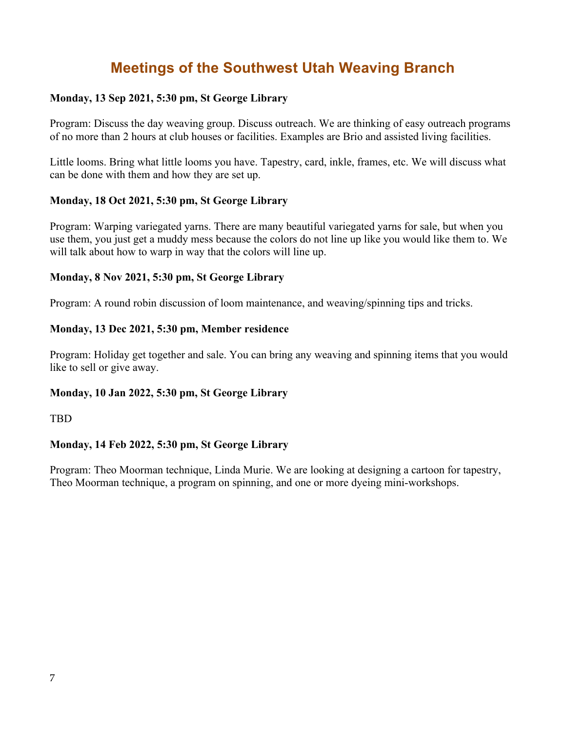# **Meetings of the Southwest Utah Weaving Branch**

### **Monday, 13 Sep 2021, 5:30 pm, St George Library**

Program: Discuss the day weaving group. Discuss outreach. We are thinking of easy outreach programs of no more than 2 hours at club houses or facilities. Examples are Brio and assisted living facilities.

Little looms. Bring what little looms you have. Tapestry, card, inkle, frames, etc. We will discuss what can be done with them and how they are set up.

### **Monday, 18 Oct 2021, 5:30 pm, St George Library**

Program: Warping variegated yarns. There are many beautiful variegated yarns for sale, but when you use them, you just get a muddy mess because the colors do not line up like you would like them to. We will talk about how to warp in way that the colors will line up.

### **Monday, 8 Nov 2021, 5:30 pm, St George Library**

Program: A round robin discussion of loom maintenance, and weaving/spinning tips and tricks.

### **Monday, 13 Dec 2021, 5:30 pm, Member residence**

Program: Holiday get together and sale. You can bring any weaving and spinning items that you would like to sell or give away.

### **Monday, 10 Jan 2022, 5:30 pm, St George Library**

TBD

### **Monday, 14 Feb 2022, 5:30 pm, St George Library**

Program: Theo Moorman technique, Linda Murie. We are looking at designing a cartoon for tapestry, Theo Moorman technique, a program on spinning, and one or more dyeing mini-workshops.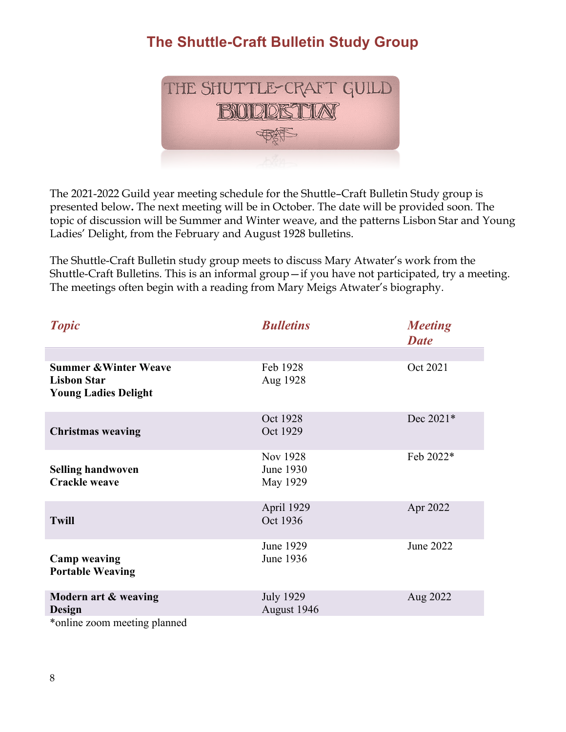# **The Shuttle-Craft Bulletin Study Group**



The 2021-2022 Guild year meeting schedule for the Shuttle–Craft Bulletin Study group is presented below**.** The next meeting will be in October. The date will be provided soon. The topic of discussion will be Summer and Winter weave, and the patterns Lisbon Star and Young Ladies' Delight, from the February and August 1928 bulletins.

The Shuttle-Craft Bulletin study group meets to discuss Mary Atwater's work from the Shuttle-Craft Bulletins. This is an informal group—if you have not participated, try a meeting. The meetings often begin with a reading from Mary Meigs Atwater's biography.

| <b>Topic</b>                                                                          | <b>Bulletins</b>                  | <b>Meeting</b><br><b>Date</b> |
|---------------------------------------------------------------------------------------|-----------------------------------|-------------------------------|
| <b>Summer &amp; Winter Weave</b><br><b>Lisbon Star</b><br><b>Young Ladies Delight</b> | Feb 1928<br>Aug 1928              | Oct 2021                      |
| <b>Christmas weaving</b>                                                              | Oct 1928<br>Oct 1929              | Dec 2021*                     |
| <b>Selling handwoven</b><br><b>Crackle weave</b>                                      | Nov 1928<br>June 1930<br>May 1929 | Feb 2022*                     |
| <b>Twill</b>                                                                          | April 1929<br>Oct 1936            | Apr 2022                      |
| <b>Camp weaving</b><br><b>Portable Weaving</b>                                        | June 1929<br>June 1936            | June 2022                     |
| Modern art & weaving<br>Design<br>2000 - 2010 - 2020 - 20<br>$\frac{1}{2}$ 1:         | <b>July 1929</b><br>August 1946   | Aug 2022                      |

\*online zoom meeting planned